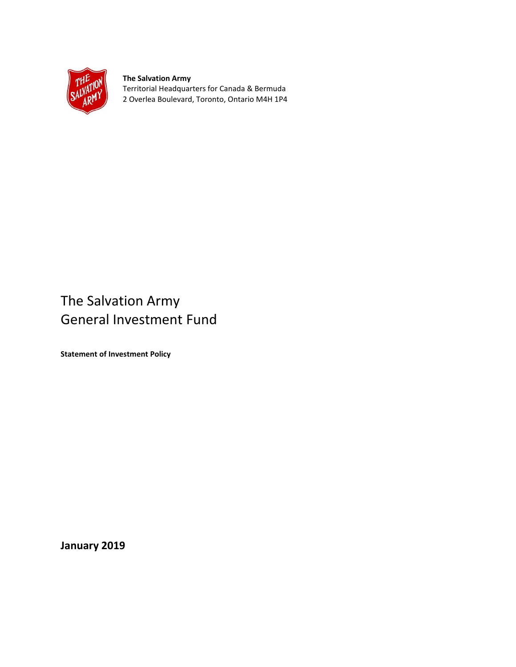

**The Salvation Army** Territorial Headquarters for Canada & Bermuda 2 Overlea Boulevard, Toronto, Ontario M4H 1P4

# The Salvation Army General Investment Fund

**Statement of Investment Policy**

**January 2019**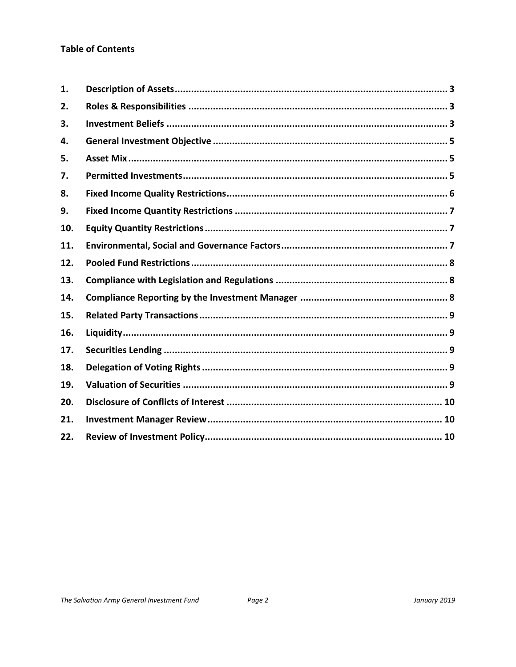## **Table of Contents**

| 1.  |  |
|-----|--|
| 2.  |  |
| 3.  |  |
| 4.  |  |
| 5.  |  |
| 7.  |  |
| 8.  |  |
| 9.  |  |
| 10. |  |
| 11. |  |
| 12. |  |
| 13. |  |
| 14. |  |
| 15. |  |
| 16. |  |
| 17. |  |
| 18. |  |
| 19. |  |
| 20. |  |
| 21. |  |
| 22. |  |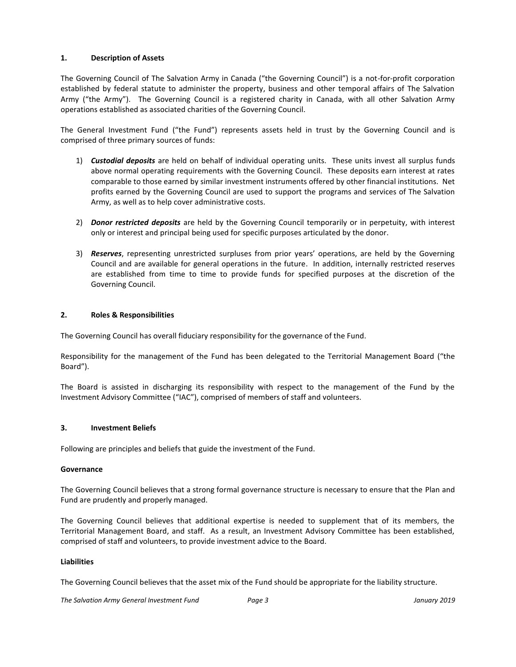## <span id="page-2-0"></span>**1. Description of Assets**

The Governing Council of The Salvation Army in Canada ("the Governing Council") is a not-for-profit corporation established by federal statute to administer the property, business and other temporal affairs of The Salvation Army ("the Army"). The Governing Council is a registered charity in Canada, with all other Salvation Army operations established as associated charities of the Governing Council.

The General Investment Fund ("the Fund") represents assets held in trust by the Governing Council and is comprised of three primary sources of funds:

- 1) *Custodial deposits* are held on behalf of individual operating units. These units invest all surplus funds above normal operating requirements with the Governing Council. These deposits earn interest at rates comparable to those earned by similar investment instruments offered by other financial institutions. Net profits earned by the Governing Council are used to support the programs and services of The Salvation Army, as well as to help cover administrative costs.
- 2) *Donor restricted deposits* are held by the Governing Council temporarily or in perpetuity, with interest only or interest and principal being used for specific purposes articulated by the donor.
- 3) *Reserves*, representing unrestricted surpluses from prior years' operations, are held by the Governing Council and are available for general operations in the future. In addition, internally restricted reserves are established from time to time to provide funds for specified purposes at the discretion of the Governing Council.

#### <span id="page-2-1"></span>**2. Roles & Responsibilities**

The Governing Council has overall fiduciary responsibility for the governance of the Fund.

Responsibility for the management of the Fund has been delegated to the Territorial Management Board ("the Board").

The Board is assisted in discharging its responsibility with respect to the management of the Fund by the Investment Advisory Committee ("IAC"), comprised of members of staff and volunteers.

#### <span id="page-2-2"></span>**3. Investment Beliefs**

Following are principles and beliefs that guide the investment of the Fund.

#### **Governance**

The Governing Council believes that a strong formal governance structure is necessary to ensure that the Plan and Fund are prudently and properly managed.

The Governing Council believes that additional expertise is needed to supplement that of its members, the Territorial Management Board, and staff. As a result, an Investment Advisory Committee has been established, comprised of staff and volunteers, to provide investment advice to the Board.

#### **Liabilities**

The Governing Council believes that the asset mix of the Fund should be appropriate for the liability structure.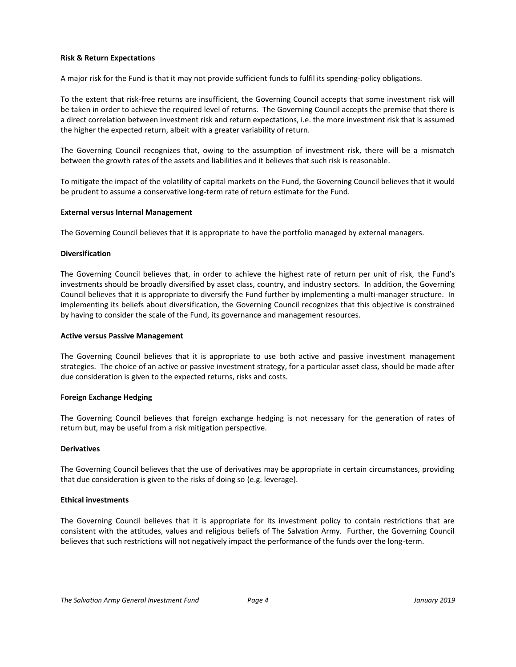#### **Risk & Return Expectations**

A major risk for the Fund is that it may not provide sufficient funds to fulfil its spending-policy obligations.

To the extent that risk-free returns are insufficient, the Governing Council accepts that some investment risk will be taken in order to achieve the required level of returns. The Governing Council accepts the premise that there is a direct correlation between investment risk and return expectations, i.e. the more investment risk that is assumed the higher the expected return, albeit with a greater variability of return.

The Governing Council recognizes that, owing to the assumption of investment risk, there will be a mismatch between the growth rates of the assets and liabilities and it believes that such risk is reasonable.

To mitigate the impact of the volatility of capital markets on the Fund, the Governing Council believes that it would be prudent to assume a conservative long-term rate of return estimate for the Fund.

#### **External versus Internal Management**

The Governing Council believes that it is appropriate to have the portfolio managed by external managers.

#### **Diversification**

The Governing Council believes that, in order to achieve the highest rate of return per unit of risk, the Fund's investments should be broadly diversified by asset class, country, and industry sectors. In addition, the Governing Council believes that it is appropriate to diversify the Fund further by implementing a multi-manager structure. In implementing its beliefs about diversification, the Governing Council recognizes that this objective is constrained by having to consider the scale of the Fund, its governance and management resources.

#### **Active versus Passive Management**

The Governing Council believes that it is appropriate to use both active and passive investment management strategies. The choice of an active or passive investment strategy, for a particular asset class, should be made after due consideration is given to the expected returns, risks and costs.

#### **Foreign Exchange Hedging**

The Governing Council believes that foreign exchange hedging is not necessary for the generation of rates of return but, may be useful from a risk mitigation perspective.

#### **Derivatives**

The Governing Council believes that the use of derivatives may be appropriate in certain circumstances, providing that due consideration is given to the risks of doing so (e.g. leverage).

#### **Ethical investments**

The Governing Council believes that it is appropriate for its investment policy to contain restrictions that are consistent with the attitudes, values and religious beliefs of The Salvation Army. Further, the Governing Council believes that such restrictions will not negatively impact the performance of the funds over the long-term.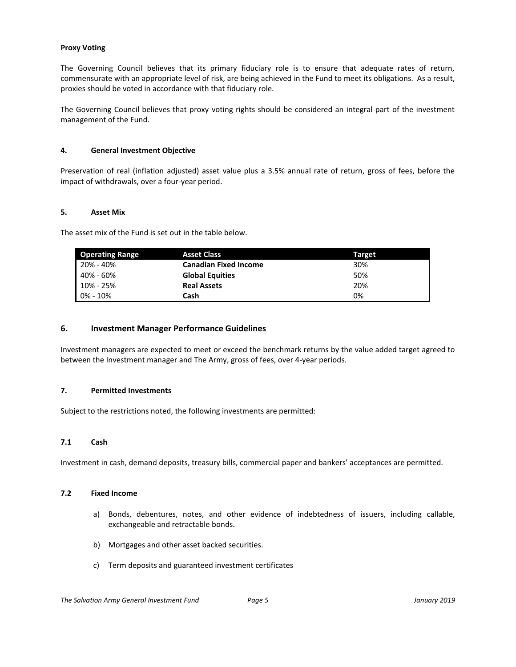#### **Proxy Voting**

The Governing Council believes that its primary fiduciary role is to ensure that adequate rates of return, commensurate with an appropriate level of risk, are being achieved in the Fund to meet its obligations. As a result, proxies should be voted in accordance with that fiduciary role.

The Governing Council believes that proxy voting rights should be considered an integral part of the investment management of the Fund.

#### <span id="page-4-0"></span>**4. General Investment Objective**

Preservation of real (inflation adjusted) asset value plus a 3.5% annual rate of return, gross of fees, before the impact of withdrawals, over a four-year period.

#### <span id="page-4-1"></span>**5. Asset Mix**

The asset mix of the Fund is set out in the table below.

| <b>Operating Range</b> | <b>Asset Class</b>           | <b>Target</b> |
|------------------------|------------------------------|---------------|
| 20% - 40%              | <b>Canadian Fixed Income</b> | 30%           |
| 40% - 60%              | <b>Global Equities</b>       | 50%           |
| 10% - 25%              | <b>Real Assets</b>           | 20%           |
| $0\% - 10\%$           | Cash                         | 0%            |

## **6. Investment Manager Performance Guidelines**

Investment managers are expected to meet or exceed the benchmark returns by the value added target agreed to between the Investment manager and The Army, gross of fees, over 4-year periods.

#### <span id="page-4-2"></span>**7. Permitted Investments**

Subject to the restrictions noted, the following investments are permitted:

#### **7.1 Cash**

Investment in cash, demand deposits, treasury bills, commercial paper and bankers' acceptances are permitted.

#### **7.2 Fixed Income**

- a) Bonds, debentures, notes, and other evidence of indebtedness of issuers, including callable, exchangeable and retractable bonds.
- b) Mortgages and other asset backed securities.
- c) Term deposits and guaranteed investment certificates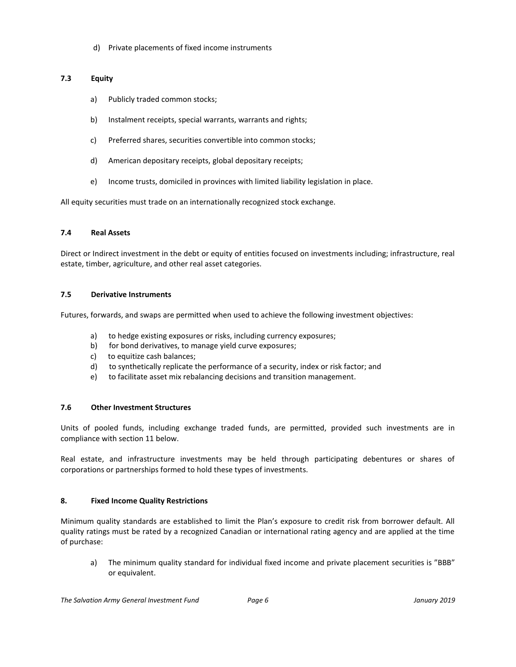d) Private placements of fixed income instruments

## **7.3 Equity**

- a) Publicly traded common stocks;
- b) Instalment receipts, special warrants, warrants and rights;
- c) Preferred shares, securities convertible into common stocks;
- d) American depositary receipts, global depositary receipts;
- e) Income trusts, domiciled in provinces with limited liability legislation in place.

All equity securities must trade on an internationally recognized stock exchange.

## **7.4 Real Assets**

Direct or Indirect investment in the debt or equity of entities focused on investments including; infrastructure, real estate, timber, agriculture, and other real asset categories.

## **7.5 Derivative Instruments**

Futures, forwards, and swaps are permitted when used to achieve the following investment objectives:

- a) to hedge existing exposures or risks, including currency exposures;
- b) for bond derivatives, to manage yield curve exposures;
- c) to equitize cash balances;
- d) to synthetically replicate the performance of a security, index or risk factor; and
- e) to facilitate asset mix rebalancing decisions and transition management.

## **7.6 Other Investment Structures**

Units of pooled funds, including exchange traded funds, are permitted, provided such investments are in compliance with section 11 below.

Real estate, and infrastructure investments may be held through participating debentures or shares of corporations or partnerships formed to hold these types of investments.

## <span id="page-5-0"></span>**8. Fixed Income Quality Restrictions**

Minimum quality standards are established to limit the Plan's exposure to credit risk from borrower default. All quality ratings must be rated by a recognized Canadian or international rating agency and are applied at the time of purchase:

a) The minimum quality standard for individual fixed income and private placement securities is "BBB" or equivalent.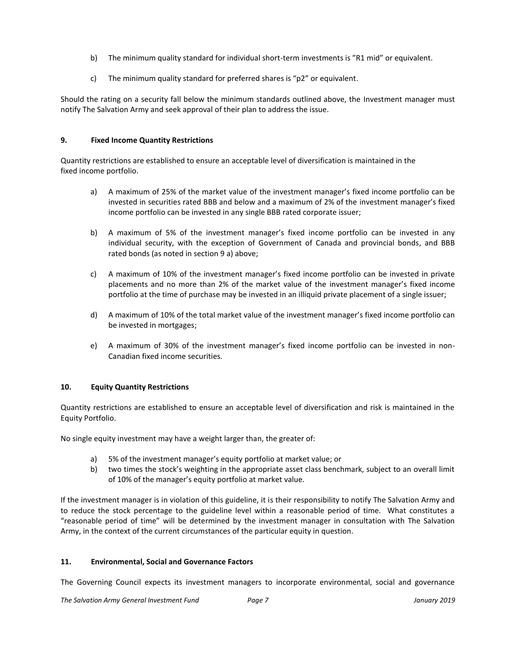- b) The minimum quality standard for individual short-term investments is "R1 mid" or equivalent.
- c) The minimum quality standard for preferred shares is "p2" or equivalent.

Should the rating on a security fall below the minimum standards outlined above, the Investment manager must notify The Salvation Army and seek approval of their plan to address the issue.

## <span id="page-6-0"></span>**9. Fixed Income Quantity Restrictions**

Quantity restrictions are established to ensure an acceptable level of diversification is maintained in the fixed income portfolio.

- a) A maximum of 25% of the market value of the investment manager's fixed income portfolio can be invested in securities rated BBB and below and a maximum of 2% of the investment manager's fixed income portfolio can be invested in any single BBB rated corporate issuer;
- b) A maximum of 5% of the investment manager's fixed income portfolio can be invested in any individual security, with the exception of Government of Canada and provincial bonds, and BBB rated bonds (as noted in section 9 a) above;
- c) A maximum of 10% of the investment manager's fixed income portfolio can be invested in private placements and no more than 2% of the market value of the investment manager's fixed income portfolio at the time of purchase may be invested in an illiquid private placement of a single issuer;
- d) A maximum of 10% of the total market value of the investment manager's fixed income portfolio can be invested in mortgages;
- e) A maximum of 30% of the investment manager's fixed income portfolio can be invested in non-Canadian fixed income securities.

## <span id="page-6-1"></span>**10. Equity Quantity Restrictions**

Quantity restrictions are established to ensure an acceptable level of diversification and risk is maintained in the Equity Portfolio.

No single equity investment may have a weight larger than, the greater of:

- a) 5% of the investment manager's equity portfolio at market value; or
- b) two times the stock's weighting in the appropriate asset class benchmark, subject to an overall limit of 10% of the manager's equity portfolio at market value.

If the investment manager is in violation of this guideline, it is their responsibility to notify The Salvation Army and to reduce the stock percentage to the guideline level within a reasonable period of time. What constitutes a "reasonable period of time" will be determined by the investment manager in consultation with The Salvation Army, in the context of the current circumstances of the particular equity in question.

## <span id="page-6-2"></span>**11. Environmental, Social and Governance Factors**

The Governing Council expects its investment managers to incorporate environmental, social and governance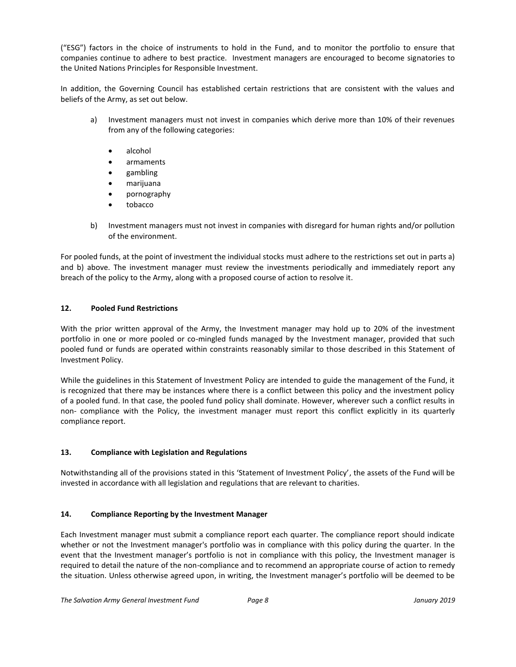("ESG") factors in the choice of instruments to hold in the Fund, and to monitor the portfolio to ensure that companies continue to adhere to best practice. Investment managers are encouraged to become signatories to the United Nations Principles for Responsible Investment.

In addition, the Governing Council has established certain restrictions that are consistent with the values and beliefs of the Army, as set out below.

- a) Investment managers must not invest in companies which derive more than 10% of their revenues from any of the following categories:
	- alcohol
	- armaments
	- gambling
	- marijuana
	- pornography
	- tobacco
- b) Investment managers must not invest in companies with disregard for human rights and/or pollution of the environment.

For pooled funds, at the point of investment the individual stocks must adhere to the restrictions set out in parts a) and b) above. The investment manager must review the investments periodically and immediately report any breach of the policy to the Army, along with a proposed course of action to resolve it.

## <span id="page-7-0"></span>**12. Pooled Fund Restrictions**

With the prior written approval of the Army, the Investment manager may hold up to 20% of the investment portfolio in one or more pooled or co-mingled funds managed by the Investment manager, provided that such pooled fund or funds are operated within constraints reasonably similar to those described in this Statement of Investment Policy.

While the guidelines in this Statement of Investment Policy are intended to guide the management of the Fund, it is recognized that there may be instances where there is a conflict between this policy and the investment policy of a pooled fund. In that case, the pooled fund policy shall dominate. However, wherever such a conflict results in non- compliance with the Policy, the investment manager must report this conflict explicitly in its quarterly compliance report.

## <span id="page-7-1"></span>**13. Compliance with Legislation and Regulations**

Notwithstanding all of the provisions stated in this 'Statement of Investment Policy', the assets of the Fund will be invested in accordance with all legislation and regulations that are relevant to charities.

## <span id="page-7-2"></span>**14. Compliance Reporting by the Investment Manager**

Each Investment manager must submit a compliance report each quarter. The compliance report should indicate whether or not the Investment manager's portfolio was in compliance with this policy during the quarter. In the event that the Investment manager's portfolio is not in compliance with this policy, the Investment manager is required to detail the nature of the non-compliance and to recommend an appropriate course of action to remedy the situation. Unless otherwise agreed upon, in writing, the Investment manager's portfolio will be deemed to be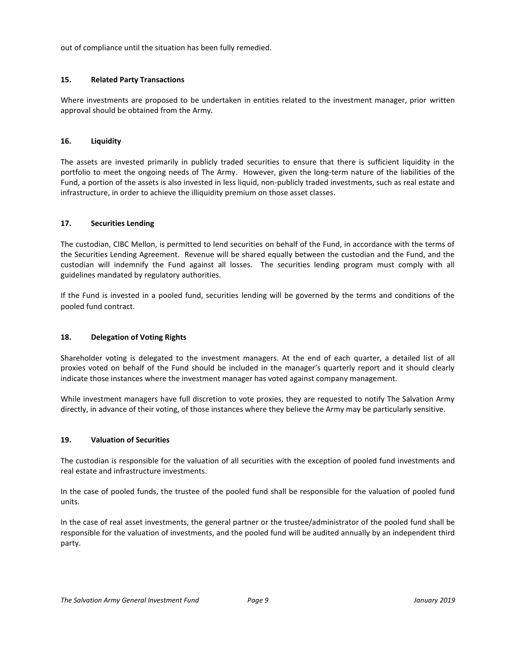out of compliance until the situation has been fully remedied.

## <span id="page-8-0"></span>**15. Related Party Transactions**

Where investments are proposed to be undertaken in entities related to the investment manager, prior written approval should be obtained from the Army.

#### <span id="page-8-1"></span>**16. Liquidity**

The assets are invested primarily in publicly traded securities to ensure that there is sufficient liquidity in the portfolio to meet the ongoing needs of The Army. However, given the long-term nature of the liabilities of the Fund, a portion of the assets is also invested in less liquid, non-publicly traded investments, such as real estate and infrastructure, in order to achieve the illiquidity premium on those asset classes.

## <span id="page-8-2"></span>**17. Securities Lending**

The custodian, CIBC Mellon, is permitted to lend securities on behalf of the Fund, in accordance with the terms of the Securities Lending Agreement. Revenue will be shared equally between the custodian and the Fund, and the custodian will indemnify the Fund against all losses. The securities lending program must comply with all guidelines mandated by regulatory authorities.

If the Fund is invested in a pooled fund, securities lending will be governed by the terms and conditions of the pooled fund contract.

## <span id="page-8-3"></span>**18. Delegation of Voting Rights**

Shareholder voting is delegated to the investment managers. At the end of each quarter, a detailed list of all proxies voted on behalf of the Fund should be included in the manager's quarterly report and it should clearly indicate those instances where the investment manager has voted against company management.

While investment managers have full discretion to vote proxies, they are requested to notify The Salvation Army directly, in advance of their voting, of those instances where they believe the Army may be particularly sensitive.

#### <span id="page-8-4"></span>**19. Valuation of Securities**

The custodian is responsible for the valuation of all securities with the exception of pooled fund investments and real estate and infrastructure investments.

In the case of pooled funds, the trustee of the pooled fund shall be responsible for the valuation of pooled fund units.

In the case of real asset investments, the general partner or the trustee/administrator of the pooled fund shall be responsible for the valuation of investments, and the pooled fund will be audited annually by an independent third party.